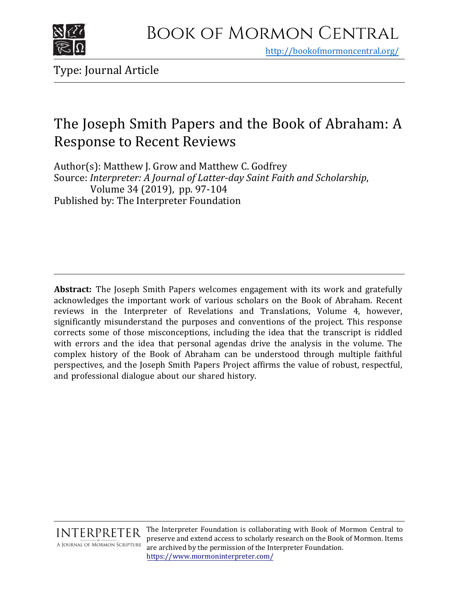

<http://bookofmormoncentral.org/>

Type: Journal Article

## The Joseph Smith Papers and the Book of Abraham: A Response to Recent Reviews

Author(s): Matthew J. Grow and Matthew C. Godfrey Source: *Interpreter: A Journal of Latter-day Saint Faith and Scholarship*, Volume 34 (2019), pp. 97-104 Published by: The Interpreter Foundation

**Abstract:** The Joseph Smith Papers welcomes engagement with its work and gratefully acknowledges the important work of various scholars on the Book of Abraham. Recent reviews in the Interpreter of Revelations and Translations, Volume 4, however, significantly misunderstand the purposes and conventions of the project. This response corrects some of those misconceptions, including the idea that the transcript is riddled with errors and the idea that personal agendas drive the analysis in the volume. The complex history of the Book of Abraham can be understood through multiple faithful perspectives, and the Joseph Smith Papers Project affirms the value of robust, respectful, and professional dialogue about our shared history.



The Interpreter Foundation is collaborating with Book of Mormon Central to preserve and extend access to scholarly research on the Book of Mormon. Items are archived by the permission of the Interpreter Foundation. https://[www.mormoninterpreter.com](https://www.mormoninterpreter.com/)/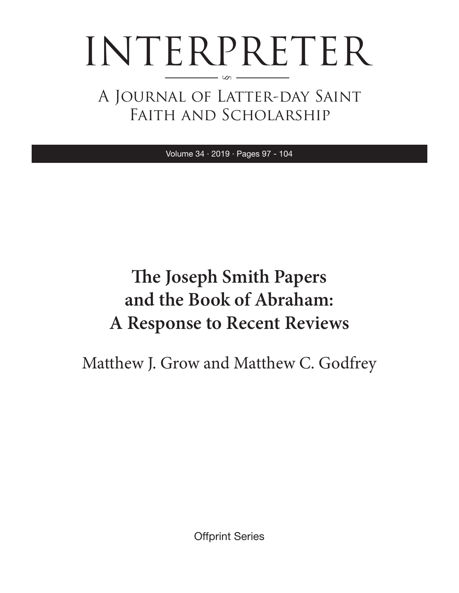# INTERPRETER §

A Journal of Latter-day Saint Faith and Scholarship

Volume 34 · 2019 · Pages 97 - 104

# **The Joseph Smith Papers and the Book of Abraham: A Response to Recent Reviews**

Matthew J. Grow and Matthew C. Godfrey

Offprint Series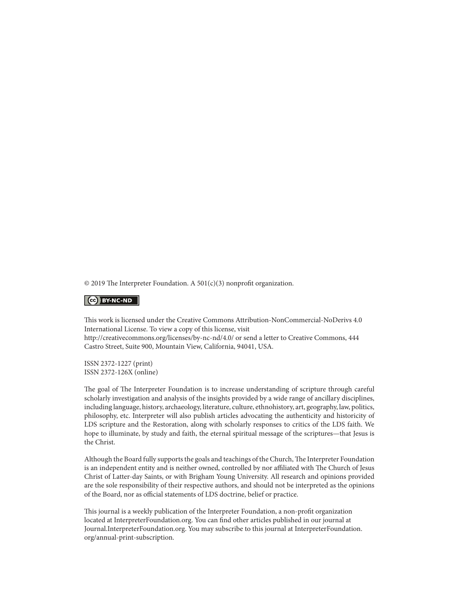© 2019 The Interpreter Foundation. A 501(c)(3) nonprofit organization.

#### $\left| \begin{array}{c} \text{(cc)} \end{array} \right|$  BY-NC-ND

This work is licensed under the Creative Commons Attribution-NonCommercial-NoDerivs 4.0 International License. To view a copy of this license, visit

http://creativecommons.org/licenses/by-nc-nd/4.0/ or send a letter to Creative Commons, 444 Castro Street, Suite 900, Mountain View, California, 94041, USA.

ISSN 2372-1227 (print) ISSN 2372-126X (online)

The goal of The Interpreter Foundation is to increase understanding of scripture through careful scholarly investigation and analysis of the insights provided by a wide range of ancillary disciplines, including language, history, archaeology, literature, culture, ethnohistory, art, geography, law, politics, philosophy, etc. Interpreter will also publish articles advocating the authenticity and historicity of LDS scripture and the Restoration, along with scholarly responses to critics of the LDS faith. We hope to illuminate, by study and faith, the eternal spiritual message of the scriptures—that Jesus is the Christ.

Although the Board fully supports the goals and teachings of the Church, The Interpreter Foundation is an independent entity and is neither owned, controlled by nor affiliated with The Church of Jesus Christ of Latter-day Saints, or with Brigham Young University. All research and opinions provided are the sole responsibility of their respective authors, and should not be interpreted as the opinions of the Board, nor as official statements of LDS doctrine, belief or practice.

This journal is a weekly publication of the Interpreter Foundation, a non-profit organization located at InterpreterFoundation.org. You can find other articles published in our journal at Journal.InterpreterFoundation.org. You may subscribe to this journal at InterpreterFoundation. org/annual-print-subscription.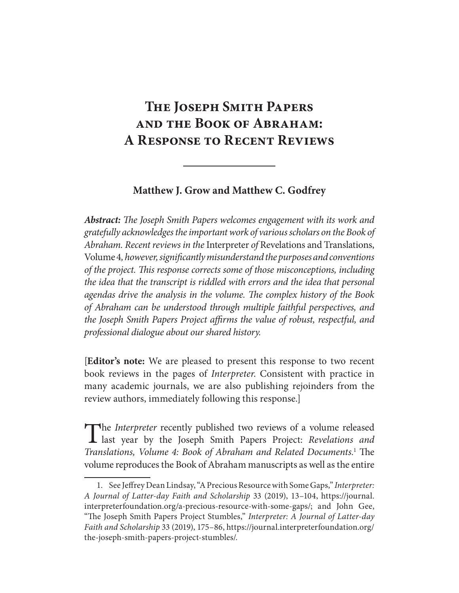## **The Joseph Smith Papers and the Book of Abraham: A Response to Recent Reviews**

### **Matthew J. Grow and Matthew C. Godfrey**

**Abstract:** *The Joseph Smith Papers welcomes engagement with its work and gratefully acknowledges the important work of various scholars on the Book of Abraham. Recent reviews in the* Interpreter *of* Revelations and Translations, Volume 4*, however, significantly misunderstand the purposes and conventions of the project. This response corrects some of those misconceptions, including the idea that the transcript is riddled with errors and the idea that personal agendas drive the analysis in the volume. The complex history of the Book of Abraham can be understood through multiple faithful perspectives, and the Joseph Smith Papers Project affirms the value of robust, respectful, and professional dialogue about our shared history.*

[**Editor's note:** We are pleased to present this response to two recent book reviews in the pages of *Interpreter*. Consistent with practice in many academic journals, we are also publishing rejoinders from the review authors, immediately following this response.]

The *Interpreter* recently published two reviews of a volume released<br>last year by the Joseph Smith Papers Project: *Revelations and Translations, Volume 4: Book of Abraham and Related Documents.*<sup>1</sup> The volume reproduces the Book of Abraham manuscripts as well as the entire

 <sup>1.</sup> See Jeffrey Dean Lindsay, "A Precious Resource with Some Gaps," *Interpreter: A Journal of Latter-day Faith and Scholarship* 33 (2019), 13–104, https://journal. interpreterfoundation.org/a-precious-resource-with-some-gaps/; and John Gee, "The Joseph Smith Papers Project Stumbles," *Interpreter: A Journal of Latter-day Faith and Scholarship* 33 (2019), 175–86, https://journal.interpreterfoundation.org/ the-joseph-smith-papers-project-stumbles/.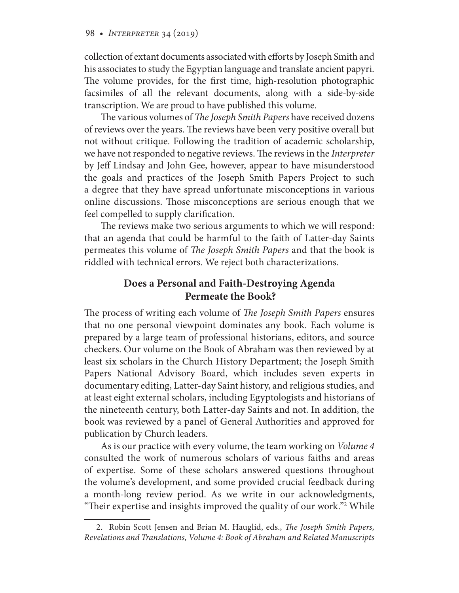collection of extant documents associated with efforts by Joseph Smith and his associates to study the Egyptian language and translate ancient papyri. The volume provides, for the first time, high- resolution photographic facsimiles of all the relevant documents, along with a side-by-side transcription. We are proud to have published this volume.

The various volumes of *The Joseph Smith Papers* have received dozens of reviews over the years. The reviews have been very positive overall but not without critique. Following the tradition of academic scholarship, we have not responded to negative reviews. The reviews in the *Interpreter* by Jeff Lindsay and John Gee, however, appear to have misunderstood the goals and practices of the Joseph Smith Papers Project to such a degree that they have spread unfortunate misconceptions in various online discussions. Those misconceptions are serious enough that we feel compelled to supply clarification.

The reviews make two serious arguments to which we will respond: that an agenda that could be harmful to the faith of Latter-day Saints permeates this volume of *The Joseph Smith Papers* and that the book is riddled with technical errors. We reject both characterizations.

## **Does a Personal and Faith-Destroying Agenda Permeate the Book?**

The process of writing each volume of *The Joseph Smith Papers* ensures that no one personal viewpoint dominates any book. Each volume is prepared by a large team of professional historians, editors, and source checkers. Our volume on the Book of Abraham was then reviewed by at least six scholars in the Church History Department; the Joseph Smith Papers National Advisory Board, which includes seven experts in documentary editing, Latter-day Saint history, and religious studies, and at least eight external scholars, including Egyptologists and historians of the nineteenth century, both Latter-day Saints and not. In addition, the book was reviewed by a panel of General Authorities and approved for publication by Church leaders.

As is our practice with every volume, the team working on *Volume 4*  consulted the work of numerous scholars of various faiths and areas of expertise. Some of these scholars answered questions throughout the volume's development, and some provided crucial feedback during a month-long review period. As we write in our acknowledgments, "Their expertise and insights improved the quality of our work."2 While

 <sup>2.</sup> Robin Scott Jensen and Brian M. Hauglid, eds., *The Joseph Smith Papers, Revelations and Translations, Volume 4: Book of Abraham and Related Manuscripts*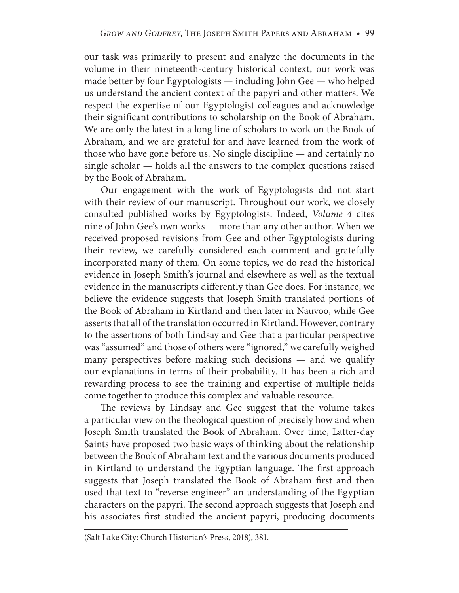our task was primarily to present and analyze the documents in the volume in their nineteenth-century historical context, our work was made better by four Egyptologists — including John Gee — who helped us understand the ancient context of the papyri and other matters. We respect the expertise of our Egyptologist colleagues and acknowledge their significant contributions to scholarship on the Book of Abraham. We are only the latest in a long line of scholars to work on the Book of Abraham, and we are grateful for and have learned from the work of those who have gone before us. No single discipline — and certainly no single scholar — holds all the answers to the complex questions raised by the Book of Abraham.

Our engagement with the work of Egyptologists did not start with their review of our manuscript. Throughout our work, we closely consulted published works by Egyptologists. Indeed, *Volume 4* cites nine of John Gee's own works — more than any other author. When we received proposed revisions from Gee and other Egyptologists during their review, we carefully considered each comment and gratefully incorporated many of them. On some topics, we do read the historical evidence in Joseph Smith's journal and elsewhere as well as the textual evidence in the manuscripts differently than Gee does. For instance, we believe the evidence suggests that Joseph Smith translated portions of the Book of Abraham in Kirtland and then later in Nauvoo, while Gee asserts that all of the translation occurred in Kirtland. However, contrary to the assertions of both Lindsay and Gee that a particular perspective was "assumed" and those of others were "ignored," we carefully weighed many perspectives before making such decisions — and we qualify our explanations in terms of their probability. It has been a rich and rewarding process to see the training and expertise of multiple fields come together to produce this complex and valuable resource.

The reviews by Lindsay and Gee suggest that the volume takes a particular view on the theological question of precisely how and when Joseph Smith translated the Book of Abraham. Over time, Latter-day Saints have proposed two basic ways of thinking about the relationship between the Book of Abraham text and the various documents produced in Kirtland to understand the Egyptian language. The first approach suggests that Joseph translated the Book of Abraham first and then used that text to "reverse engineer" an understanding of the Egyptian characters on the papyri. The second approach suggests that Joseph and his associates first studied the ancient papyri, producing documents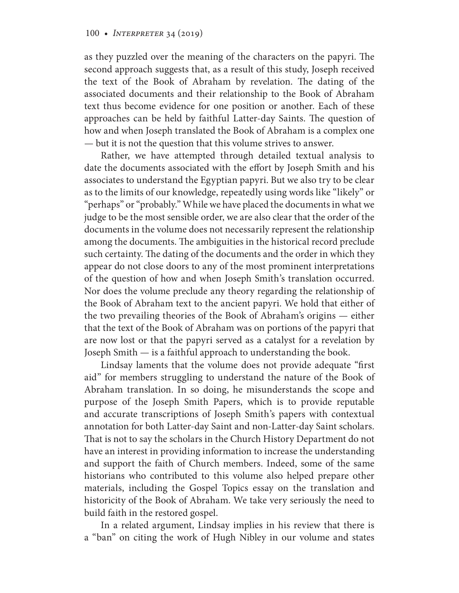as they puzzled over the meaning of the characters on the papyri. The second approach suggests that, as a result of this study, Joseph received the text of the Book of Abraham by revelation. The dating of the associated documents and their relationship to the Book of Abraham text thus become evidence for one position or another. Each of these approaches can be held by faithful Latter-day Saints. The question of how and when Joseph translated the Book of Abraham is a complex one — but it is not the question that this volume strives to answer.

Rather, we have attempted through detailed textual analysis to date the documents associated with the effort by Joseph Smith and his associates to understand the Egyptian papyri. But we also try to be clear as to the limits of our knowledge, repeatedly using words like "likely" or "perhaps" or "probably." While we have placed the documents in what we judge to be the most sensible order, we are also clear that the order of the documents in the volume does not necessarily represent the relationship among the documents. The ambiguities in the historical record preclude such certainty. The dating of the documents and the order in which they appear do not close doors to any of the most prominent interpretations of the question of how and when Joseph Smith's translation occurred. Nor does the volume preclude any theory regarding the relationship of the Book of Abraham text to the ancient papyri. We hold that either of the two prevailing theories of the Book of Abraham's origins — either that the text of the Book of Abraham was on portions of the papyri that are now lost or that the papyri served as a catalyst for a revelation by Joseph Smith — is a faithful approach to understanding the book.

Lindsay laments that the volume does not provide adequate "first aid" for members struggling to understand the nature of the Book of Abraham translation. In so doing, he misunderstands the scope and purpose of the Joseph Smith Papers, which is to provide reputable and accurate transcriptions of Joseph Smith's papers with contextual annotation for both Latter-day Saint and non-Latter-day Saint scholars. That is not to say the scholars in the Church History Department do not have an interest in providing information to increase the understanding and support the faith of Church members. Indeed, some of the same historians who contributed to this volume also helped prepare other materials, including the Gospel Topics essay on the translation and historicity of the Book of Abraham. We take very seriously the need to build faith in the restored gospel.

In a related argument, Lindsay implies in his review that there is a "ban" on citing the work of Hugh Nibley in our volume and states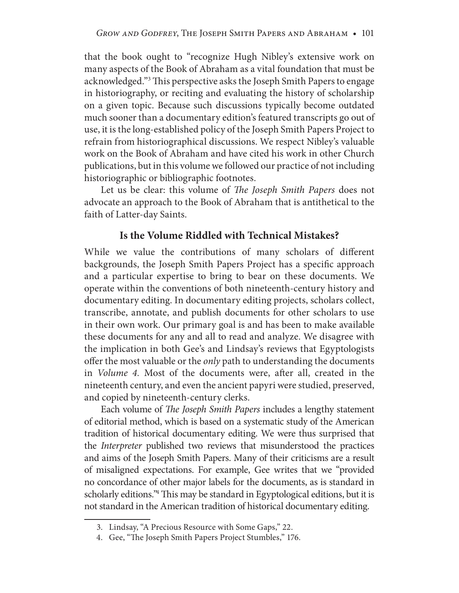that the book ought to "recognize Hugh Nibley's extensive work on many aspects of the Book of Abraham as a vital foundation that must be acknowledged."3 This perspective asks the Joseph Smith Papers to engage in historiography, or reciting and evaluating the history of scholarship on a given topic. Because such discussions typically become outdated much sooner than a documentary edition's featured transcripts go out of use, it is the long-established policy of the Joseph Smith Papers Project to refrain from historiographical discussions. We respect Nibley's valuable work on the Book of Abraham and have cited his work in other Church publications, but in this volume we followed our practice of not including historiographic or bibliographic footnotes.

Let us be clear: this volume of *The Joseph Smith Papers* does not advocate an approach to the Book of Abraham that is antithetical to the faith of Latter-day Saints.

## **Is the Volume Riddled with Technical Mistakes?**

While we value the contributions of many scholars of different backgrounds, the Joseph Smith Papers Project has a specific approach and a particular expertise to bring to bear on these documents. We operate within the conventions of both nineteenth-century history and documentary editing. In documentary editing projects, scholars collect, transcribe, annotate, and publish documents for other scholars to use in their own work. Our primary goal is and has been to make available these documents for any and all to read and analyze. We disagree with the implication in both Gee's and Lindsay's reviews that Egyptologists offer the most valuable or the *only* path to understanding the documents in *Volume 4.* Most of the documents were, after all, created in the nineteenth century, and even the ancient papyri were studied, preserved, and copied by nineteenth-century clerks.

Each volume of *The Joseph Smith Papers* includes a lengthy statement of editorial method, which is based on a systematic study of the American tradition of historical documentary editing. We were thus surprised that the *Interpreter* published two reviews that misunderstood the practices and aims of the Joseph Smith Papers. Many of their criticisms are a result of misaligned expectations. For example, Gee writes that we "provided no concordance of other major labels for the documents, as is standard in scholarly editions."4 This may be standard in Egyptological editions, but it is not standard in the American tradition of historical documentary editing.

 <sup>3.</sup> Lindsay, "A Precious Resource with Some Gaps," 22.

 <sup>4.</sup> Gee, "The Joseph Smith Papers Project Stumbles," 176.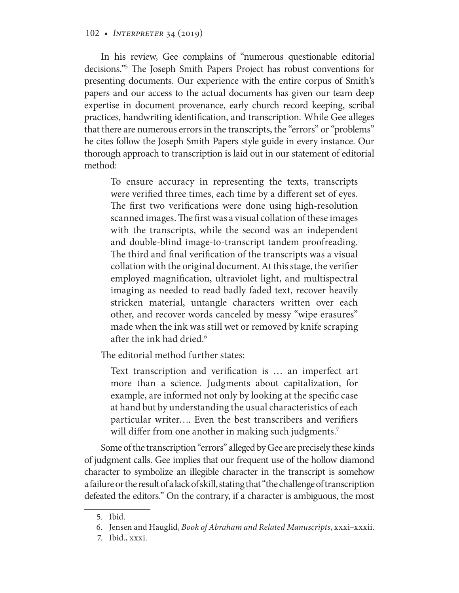### 102 • *Interpreter* 34 (2019)

In his review, Gee complains of "numerous questionable editorial decisions."5 The Joseph Smith Papers Project has robust conventions for presenting documents. Our experience with the entire corpus of Smith's papers and our access to the actual documents has given our team deep expertise in document provenance, early church record keeping, scribal practices, handwriting identification, and transcription. While Gee alleges that there are numerous errors in the transcripts, the "errors" or "problems" he cites follow the Joseph Smith Papers style guide in every instance. Our thorough approach to transcription is laid out in our statement of editorial method:

To ensure accuracy in representing the texts, transcripts were verified three times, each time by a different set of eyes. The first two verifications were done using high-resolution scanned images. The first was a visual collation of these images with the transcripts, while the second was an independent and double-blind image-to-transcript tandem proofreading. The third and final verification of the transcripts was a visual collation with the original document. At this stage, the verifier employed magnification, ultraviolet light, and multispectral imaging as needed to read badly faded text, recover heavily stricken material, untangle characters written over each other, and recover words canceled by messy "wipe erasures" made when the ink was still wet or removed by knife scraping after the ink had dried.<sup>6</sup>

The editorial method further states:

Text transcription and verification is … an imperfect art more than a science. Judgments about capitalization, for example, are informed not only by looking at the specific case at hand but by understanding the usual characteristics of each particular writer…. Even the best transcribers and verifiers will differ from one another in making such judgments.<sup>7</sup>

Some of the transcription "errors" alleged by Gee are precisely these kinds of judgment calls. Gee implies that our frequent use of the hollow diamond character to symbolize an illegible character in the transcript is somehow a failure or the result of a lack of skill, stating that "the challenge of transcription defeated the editors." On the contrary, if a character is ambiguous, the most

 <sup>5.</sup> Ibid.

 <sup>6.</sup> Jensen and Hauglid, *Book of Abraham and Related Manuscripts*, xxxi–xxxii.

 <sup>7.</sup> Ibid., xxxi.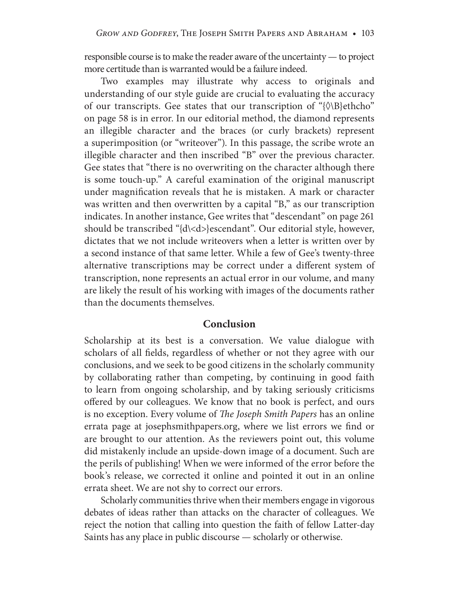responsible course is to make the reader aware of the uncertainty — to project more certitude than is warranted would be a failure indeed.

Two examples may illustrate why access to originals and understanding of our style guide are crucial to evaluating the accuracy of our transcripts. Gee states that our transcription of "{◊\B}ethcho" on page 58 is in error. In our editorial method, the diamond represents an illegible character and the braces (or curly brackets) represent a superimposition (or "writeover"). In this passage, the scribe wrote an illegible character and then inscribed "B" over the previous character. Gee states that "there is no overwriting on the character although there is some touch-up." A careful examination of the original manuscript under magnification reveals that he is mistaken. A mark or character was written and then overwritten by a capital "B," as our transcription indicates. In another instance, Gee writes that "descendant" on page 261 should be transcribed "{d\<d>}escendant". Our editorial style, however, dictates that we not include writeovers when a letter is written over by a second instance of that same letter. While a few of Gee's twenty-three alternative transcriptions may be correct under a different system of transcription, none represents an actual error in our volume, and many are likely the result of his working with images of the documents rather than the documents themselves.

#### **Conclusion**

Scholarship at its best is a conversation. We value dialogue with scholars of all fields, regardless of whether or not they agree with our conclusions, and we seek to be good citizens in the scholarly community by collaborating rather than competing, by continuing in good faith to learn from ongoing scholarship, and by taking seriously criticisms offered by our colleagues. We know that no book is perfect, and ours is no exception. Every volume of *The Joseph Smith Papers* has an online errata page at josephsmithpapers.org, where we list errors we find or are brought to our attention. As the reviewers point out, this volume did mistakenly include an upside-down image of a document. Such are the perils of publishing! When we were informed of the error before the book's release, we corrected it online and pointed it out in an online errata sheet. We are not shy to correct our errors.

Scholarly communities thrive when their members engage in vigorous debates of ideas rather than attacks on the character of colleagues. We reject the notion that calling into question the faith of fellow Latter-day Saints has any place in public discourse — scholarly or otherwise.